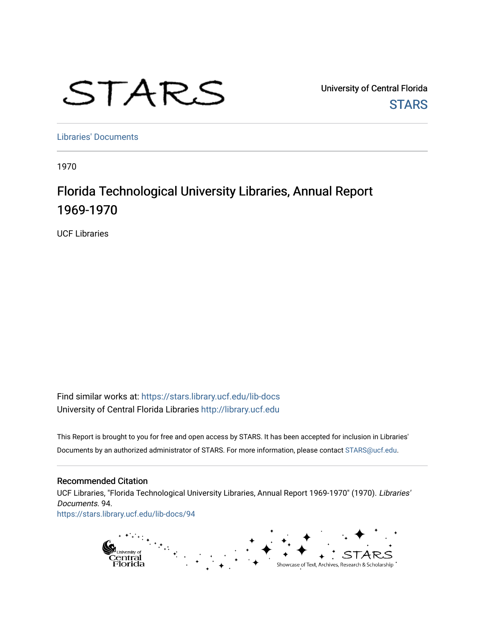# STARS

University of Central Florida **STARS** 

[Libraries' Documents](https://stars.library.ucf.edu/lib-docs) 

1970

# Florida Technological University Libraries, Annual Report 1969-1970

UCF Libraries

Find similar works at: <https://stars.library.ucf.edu/lib-docs> University of Central Florida Libraries [http://library.ucf.edu](http://library.ucf.edu/) 

This Report is brought to you for free and open access by STARS. It has been accepted for inclusion in Libraries' Documents by an authorized administrator of STARS. For more information, please contact [STARS@ucf.edu](mailto:STARS@ucf.edu).

# Recommended Citation

UCF Libraries, "Florida Technological University Libraries, Annual Report 1969-1970" (1970). Libraries' Documents. 94. [https://stars.library.ucf.edu/lib-docs/94](https://stars.library.ucf.edu/lib-docs/94?utm_source=stars.library.ucf.edu%2Flib-docs%2F94&utm_medium=PDF&utm_campaign=PDFCoverPages) 

> $\mathbf{t}_{\text{eff}}$ pi<sub>University of</sub><br>Central<br>Florida Showcase of Text, Archives, Research & Scholarship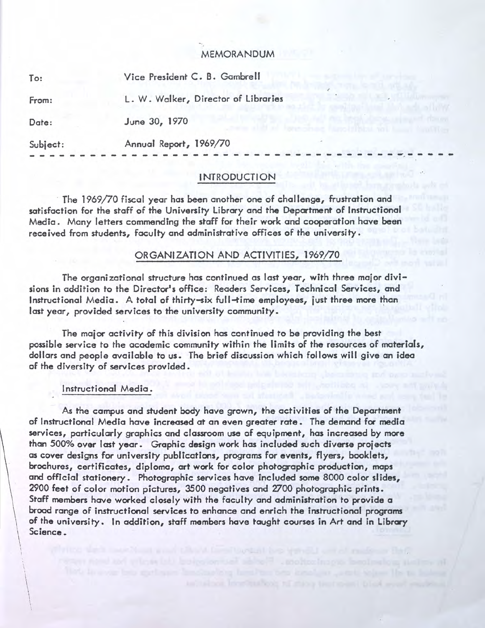#### MEMORANDUM

| To:      | Vice President C. B. Gambrell       |  |
|----------|-------------------------------------|--|
| From:    | L. W. Walker, Director of Libraries |  |
| Date:    | June 30, 1970                       |  |
| Subject: | Annual Report, 1969/70              |  |
|          |                                     |  |

# INTRODUCTION

The 1969/70 fiscal year has been another one of challenge, frustration and satisfaction for the staff of the University Library and the Depcrtment of Instructional Media. Many letters commending the staff for their work and cooperation have been received from students, faculty and administrative offices of the university.

### ORGANIZATION AND ACTIVITIES, 1969/70

The organizational structure has continued as last year, with three maior divisions in addition to the Director's office: Readers Services, Technical Services, and Instructional Media. A total of thirty-six full-time employees, just three more than last year, provided services to the university community.

The maior activity of this division has continued to be providing the best possible service to the academic community within the limits of the resources of materials, dollars and people available to us. The brief discussion which follows will give an idea of the diversity of services provided.

## Instructional Media.

I i

As the campus and student body have grown, the activities of the Department of Instructional Media have increased at an even greater rate. The demand for media services, particularly graphics and classroom use of equipment, has increased by more than 500% over last year. Graphic design work has included such diverse projects as cover designs for university publications, programs for events, flyers, booklets, brochures, certificates, diploma, art work for color photographic production, mops and official stationery. Photographic services have tncluded some 8000 color slides, 2900 feet of color motion pictures, 3500 negatives and 2700 photographic prints. Staff members have worked closely with the faculty and administration to provide a broad range of instructional services to enhance and enrich the instructional programs of the university. In addition, staff members have taught courses in Art and in Library Science.

following interviews of the plasticity and ancient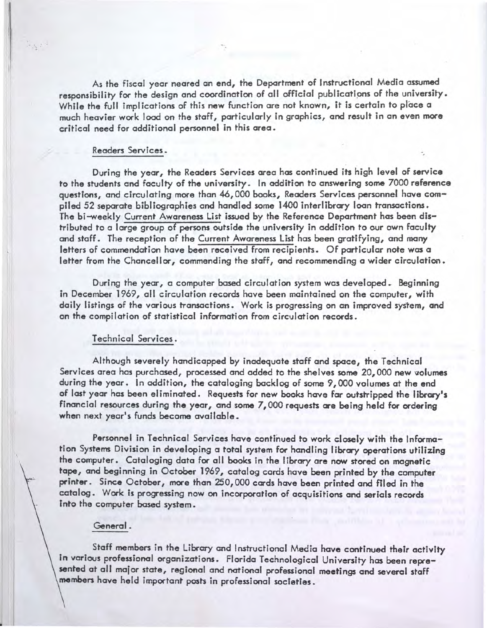As the fiscal year neared an end, the Department of Instructional Media assumed responsibility for the design and coordination of all official publications of the university. While the full implications of this new function are not known, it is certain to place a much heavier work load on the staff, particularly in graphics, and result in an even more critical need for additional personnel in this area.

#### Readers Services •

 $3.623$ 

During the year, the Readers Services area has continued its high level of service to the students and faculty of the university. In addition to answering some 7000 reference questions, and circulating more than 46, 000 books, Readers Services personnel have compiled 52 separate bibliographies and handled some 1400 interlibrary loon transactions. The bi-weekly Current Awareness List issued by the Reference Department has been distributed to a large group of persons outside the university in addition to our own faculty and staff. The reception of the Current Awareness List has been gratifying, and many letters of commendation have been received from recipients. Of particular note was a letter from the Chancellor, commending the staff, and recommending a wider circulation.

During the year, a computer based circulation system was developed. Beginning in December 1969, all circulation records have been maintained on the computer, with daily listings of the various transactions. Work is progressing on an improved system, and on the compilation of statistical information from circulation records.

#### Technical Services.

Although severely handicapped by inadequate staff and space, the Technical Services area has purchased, processed and added to the shelves some 20,000 new volumes during the year. In addition, the cataloging backlog of some 9,000 volumes at the end of last year has been eliminated. Requests for new books have far outstripped the library's financial resources during the year, and some  $7,000$  requests are being held for ordering when next year's funds become available.

Personnel in Technical Services have continued to work closely with the Information Systems Division in developing a total system for handling library operations utilizing the computer. Cataloging data for all books in the library are now stored on magnetic tape, and beginning in October 1969, catalog cards have been printed by the computer printer. Since October, more than 250, 000 cards have been printed and filed in the catalog. Work is progressing now on incorporation of acquisitions and serials records Into the computer based system.

#### General.

Staff members in the Library and Instructional Media have continued their activity in various professional organizations. Florida Technological University has been represented at all major state, regional and national professional meetings and several staff members have held important posts in professional societies.